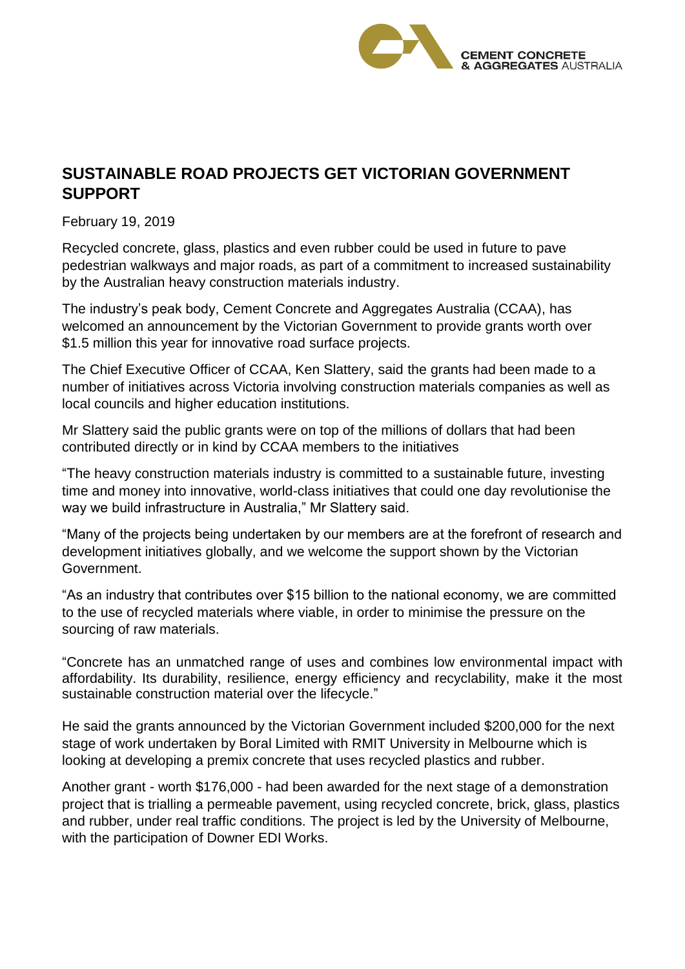

## **SUSTAINABLE ROAD PROJECTS GET VICTORIAN GOVERNMENT SUPPORT**

February 19, 2019

Recycled concrete, glass, plastics and even rubber could be used in future to pave pedestrian walkways and major roads, as part of a commitment to increased sustainability by the Australian heavy construction materials industry.

The industry's peak body, Cement Concrete and Aggregates Australia (CCAA), has welcomed an announcement by the Victorian Government to provide grants worth over \$1.5 million this year for innovative road surface projects.

The Chief Executive Officer of CCAA, Ken Slattery, said the grants had been made to a number of initiatives across Victoria involving construction materials companies as well as local councils and higher education institutions.

Mr Slattery said the public grants were on top of the millions of dollars that had been contributed directly or in kind by CCAA members to the initiatives

"The heavy construction materials industry is committed to a sustainable future, investing time and money into innovative, world-class initiatives that could one day revolutionise the way we build infrastructure in Australia," Mr Slattery said.

"Many of the projects being undertaken by our members are at the forefront of research and development initiatives globally, and we welcome the support shown by the Victorian Government.

"As an industry that contributes over \$15 billion to the national economy, we are committed to the use of recycled materials where viable, in order to minimise the pressure on the sourcing of raw materials.

"Concrete has an unmatched range of uses and combines low environmental impact with affordability. Its durability, resilience, energy efficiency and recyclability, make it the most sustainable construction material over the lifecycle."

He said the grants announced by the Victorian Government included \$200,000 for the next stage of work undertaken by Boral Limited with RMIT University in Melbourne which is looking at developing a premix concrete that uses recycled plastics and rubber.

Another grant - worth \$176,000 - had been awarded for the next stage of a demonstration project that is trialling a permeable pavement, using recycled concrete, brick, glass, plastics and rubber, under real traffic conditions. The project is led by the University of Melbourne, with the participation of Downer EDI Works.